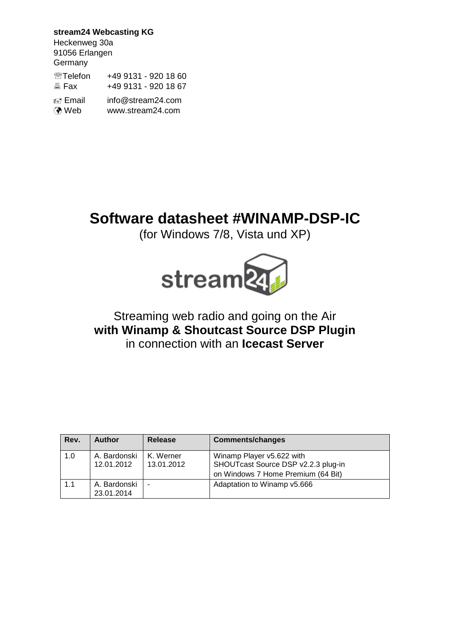**stream24 Webcasting KG** Heckenweg 30a 91056 Erlangen **Germany <sup></sub> Telefon +49 9131 - 920 18 60**</sup> **图 Fax +49 9131 - 920 18 67**  Email info@stream24.com Web www.stream24.com

## **Software datasheet #WINAMP-DSP-IC**

(for Windows 7/8, Vista und XP)



### Streaming web radio and going on the Air **with Winamp & Shoutcast Source DSP Plugin** in connection with an **Icecast Server**

| Rev. | <b>Author</b>              | Release                 | <b>Comments/changes</b>                                                                                |
|------|----------------------------|-------------------------|--------------------------------------------------------------------------------------------------------|
| 1.0  | A. Bardonski<br>12.01.2012 | K. Werner<br>13.01.2012 | Winamp Player v5.622 with<br>SHOUTcast Source DSP v2.2.3 plug-in<br>on Windows 7 Home Premium (64 Bit) |
| 1.1  | A. Bardonski<br>23.01.2014 | ٠                       | Adaptation to Winamp v5.666                                                                            |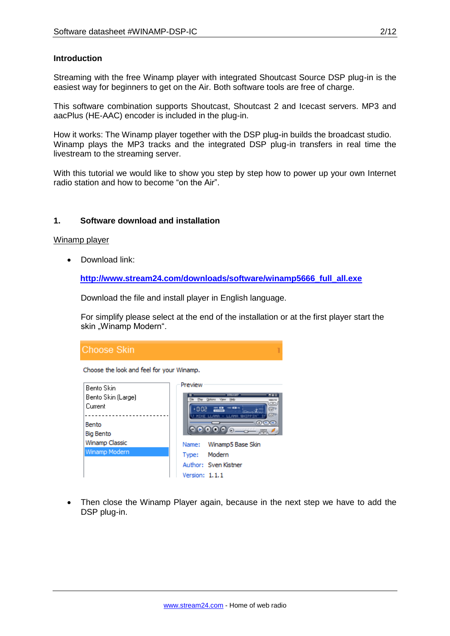#### **Introduction**

Streaming with the free Winamp player with integrated Shoutcast Source DSP plug-in is the easiest way for beginners to get on the Air. Both software tools are free of charge.

This software combination supports Shoutcast, Shoutcast 2 and Icecast servers. MP3 and aacPlus (HE-AAC) encoder is included in the plug-in.

How it works: The Winamp player together with the DSP plug-in builds the broadcast studio. Winamp plays the MP3 tracks and the integrated DSP plug-in transfers in real time the livestream to the streaming server.

With this tutorial we would like to show you step by step how to power up your own Internet radio station and how to become "on the Air".

#### **1. Software download and installation**

#### Winamp player

• Download link:

**[http://www.stream24.com/downloads/software/winamp5666\\_full\\_all.exe](http://www.stream24.com/downloads/software/winamp5666_full_all.exe)**

Download the file and install player in English language.

For simplify please select at the end of the installation or at the first player start the skin "Winamp Modern".



 Then close the Winamp Player again, because in the next step we have to add the DSP plug-in.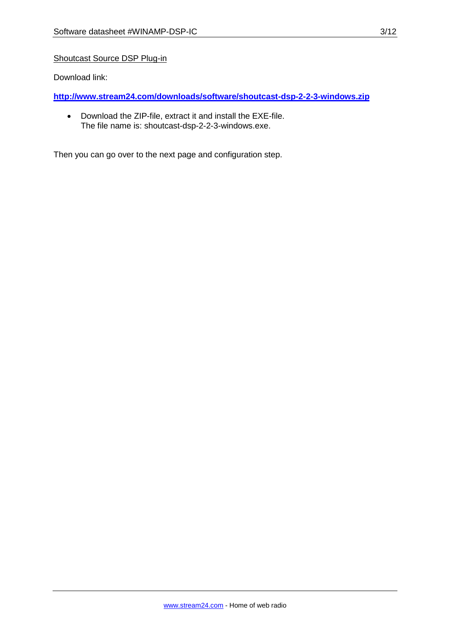#### Shoutcast Source DSP Plug-in

Download link:

**<http://www.stream24.com/downloads/software/shoutcast-dsp-2-2-3-windows.zip>**

 Download the ZIP-file, extract it and install the EXE-file. The file name is: shoutcast-dsp-2-2-3-windows.exe.

Then you can go over to the next page and configuration step.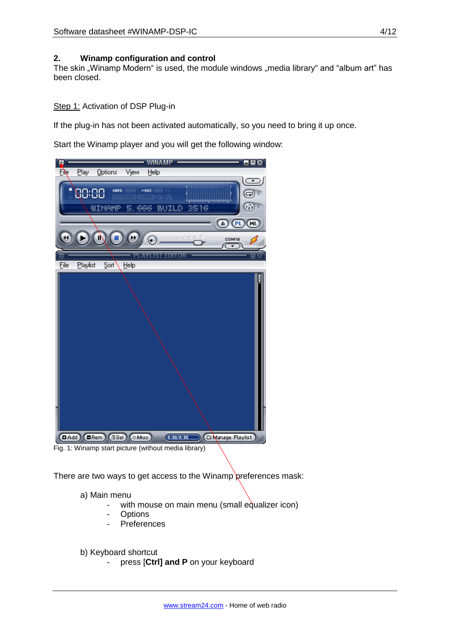#### **2. Winamp configuration and control**

The skin "Winamp Modern" is used, the module windows "media library" and "album art" has been closed.

#### Step 1: Activation of DSP Plug-in

If the plug-in has not been activated automatically, so you need to bring it up once.

Start the Winamp player and you will get the following window:



There are two ways to get access to the Winamp preferences mask:

a) Main menu

- with mouse on main menu (small equalizer icon)
- **Options**
- **Preferences**

b) Keyboard shortcut

- press [**Ctrl] and P** on your keyboard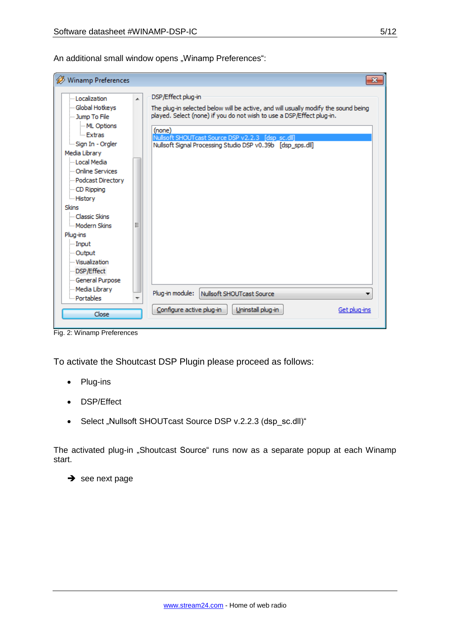An additional small window opens "Winamp Preferences":

| Winamp Preferences<br>$\mathbf{x}$                                                                                                                                                                                                                                                                                                                                      |                                                                                                                                                                                                                                                                                                                |  |  |  |
|-------------------------------------------------------------------------------------------------------------------------------------------------------------------------------------------------------------------------------------------------------------------------------------------------------------------------------------------------------------------------|----------------------------------------------------------------------------------------------------------------------------------------------------------------------------------------------------------------------------------------------------------------------------------------------------------------|--|--|--|
| -Localization<br>A<br>- Global Hotkeys<br>- Jump To File<br>ML Options<br>- Extras<br>Sign In - Orgler<br>Media Library<br>- Local Media<br>- Online Services<br>- Podcast Directory<br>- CD Ripping<br>- History<br><b>Skins</b><br>- Classic Skins<br>Modern Skins<br>Ξ<br>Plug-ins<br><b>Input</b><br>- Output<br>- Visualization<br>DSP/Effect<br>- General Purpose | DSP/Effect plug-in<br>The plug-in selected below will be active, and will usually modify the sound being<br>played. Select (none) if you do not wish to use a DSP/Effect plug-in.<br>(none)<br>Nullsoft SHOUTcast Source DSP v2.2.3 [dsp sc.dll]<br>Nullsoft Signal Processing Studio DSP v0.39b [dsp sps.dll] |  |  |  |
| Media Library<br>Portables                                                                                                                                                                                                                                                                                                                                              | Plug-in module:<br>Nullsoft SHOUTcast Source                                                                                                                                                                                                                                                                   |  |  |  |
| Close                                                                                                                                                                                                                                                                                                                                                                   | Configure active plug-in<br>Uninstall plug-in<br>Get plug-ins                                                                                                                                                                                                                                                  |  |  |  |

Fig. 2: Winamp Preferences

To activate the Shoutcast DSP Plugin please proceed as follows:

- Plug-ins
- DSP/Effect
- Select "Nullsoft SHOUTcast Source DSP v.2.2.3 (dsp\_sc.dll)"

The activated plug-in "Shoutcast Source" runs now as a separate popup at each Winamp start.

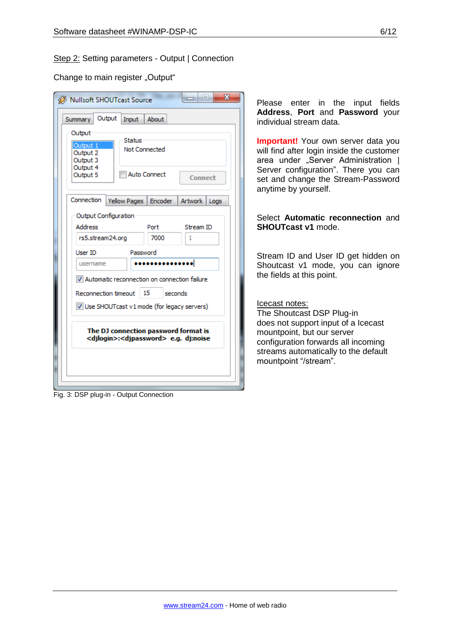#### Step 2: Setting parameters - Output | Connection

Change to main register "Output"

| x<br><b>Nullsoft SHOUTcast Source</b><br>Output<br>Input<br>About<br>Summary<br>Output<br>Status<br>Output 1<br>Not Connected<br>Output 2<br>Output 3                                      | <b>Please</b><br>enter in the<br>input fields<br>Address, Port and Password your<br>individual stream data.<br><b>Important!</b> Your own server data you<br>will find after login inside the customer<br>area under "Server Administration |
|--------------------------------------------------------------------------------------------------------------------------------------------------------------------------------------------|---------------------------------------------------------------------------------------------------------------------------------------------------------------------------------------------------------------------------------------------|
| Output 4<br><b>Auto Connect</b><br>Output 5<br>Connect<br>Connection<br>Yellow Pages<br>Artwork<br>Encoder<br>Logs                                                                         | Server configuration". There you can<br>set and change the Stream-Password<br>anytime by yourself.                                                                                                                                          |
| Output Configuration<br><b>Address</b><br>Port<br>Stream ID<br>rs5.stream24.org<br>7000<br>1                                                                                               | Select Automatic reconnection and<br><b>SHOUTcast v1 mode.</b>                                                                                                                                                                              |
| Password<br>User ID<br>username<br>V Automatic reconnection on connection failure                                                                                                          | Stream ID and User ID get hidden on<br>Shoutcast v1 mode, you can ignore<br>the fields at this point.                                                                                                                                       |
| Reconnection timeout<br>15<br>seconds<br>Use SHOUTcast v1 mode (for legacy servers)<br>The DJ connection password format is<br><djlogin>:<djpassword> e.g. dj:noise</djpassword></djlogin> | Icecast notes:<br>The Shoutcast DSP Plug-in<br>does not support input of a Icecast<br>mountpoint, but our server<br>configuration forwards all incoming<br>streams automatically to the default<br>mountpoint "/stream".                    |

Fig. 3: DSP plug-in - Output Connection

# Select **Automatic reconnection** and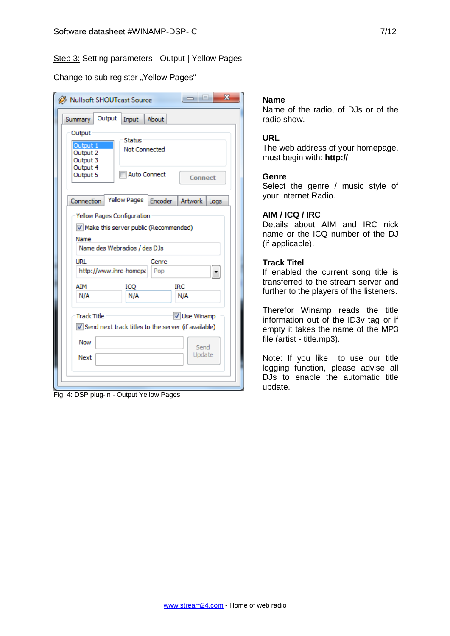#### Step 3: Setting parameters - Output | Yellow Pages

Change to sub register "Yellow Pages"

| $\mathbf{x}$<br>$\Box$<br>Nullsoft SHOUTcast Source                                                             |  |  |  |  |  |  |  |
|-----------------------------------------------------------------------------------------------------------------|--|--|--|--|--|--|--|
| Output<br>About<br>Input<br>Summary                                                                             |  |  |  |  |  |  |  |
| Output<br>Status<br>Output 1<br><b>Not Connected</b><br>Output 2<br>Output 3                                    |  |  |  |  |  |  |  |
| Output 4<br><b>Auto Connect</b><br>Output 5<br>Connect                                                          |  |  |  |  |  |  |  |
| <b>Yellow Pages</b><br>Encoder  <br>Connection<br>Artwork<br>Logs                                               |  |  |  |  |  |  |  |
| Yellow Pages Configuration<br>V Make this server public (Recommended)<br>Name                                   |  |  |  |  |  |  |  |
| Name des Webradios / des DJs<br>URL<br>Genre                                                                    |  |  |  |  |  |  |  |
| http://www.ihre-homepa<br>Pop                                                                                   |  |  |  |  |  |  |  |
| AIM<br>IRC<br>ICO<br>N/A<br>N/A<br>N/A                                                                          |  |  |  |  |  |  |  |
| <b>Track Title</b><br>V Use Winamp<br>Send next track titles to the server (if available)<br><b>Now</b><br>Send |  |  |  |  |  |  |  |
| Update<br>Next                                                                                                  |  |  |  |  |  |  |  |

Fig. 4: DSP plug-in - Output Yellow Pages

#### **Name**

Name of the radio, of DJs or of the radio show.

#### **URL**

The web address of your homepage, must begin with: **http://**

#### **Genre**

Select the genre / music style of your Internet Radio.

#### **AIM / ICQ / IRC**

Details about AIM and IRC nick name or the ICQ number of the DJ (if applicable).

#### **Track Titel**

If enabled the current song title is transferred to the stream server and further to the players of the listeners.

Therefor Winamp reads the title information out of the ID3v tag or if empty it takes the name of the MP3 file (artist - title.mp3).

Note: If you like to use our title logging function, please advise all DJs to enable the automatic title update.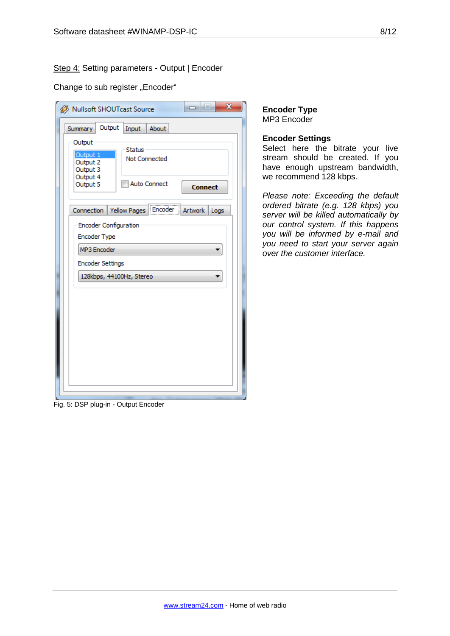#### Step 4: Setting parameters - Output | Encoder

#### Change to sub register "Encoder"

| x<br>i.<br>Nullsoft SHOUTcast Source<br>-                          |  |  |  |  |  |  |
|--------------------------------------------------------------------|--|--|--|--|--|--|
| Output<br>About<br>Input<br>Summary<br>Output                      |  |  |  |  |  |  |
| <b>Status</b><br>Output 1<br>Not Connected<br>Output 2<br>Output 3 |  |  |  |  |  |  |
| Output 4<br><b>Auto Connect</b><br>Output 5<br><b>Connect</b>      |  |  |  |  |  |  |
| Connection   Yellow Pages   Encoder   Artwork  <br>Logs            |  |  |  |  |  |  |
| <b>Encoder Configuration</b><br>Encoder Type                       |  |  |  |  |  |  |
| MP3 Encoder                                                        |  |  |  |  |  |  |
| <b>Encoder Settings</b>                                            |  |  |  |  |  |  |
| 128kbps, 44100Hz, Stereo                                           |  |  |  |  |  |  |
|                                                                    |  |  |  |  |  |  |
|                                                                    |  |  |  |  |  |  |
|                                                                    |  |  |  |  |  |  |
|                                                                    |  |  |  |  |  |  |
|                                                                    |  |  |  |  |  |  |
|                                                                    |  |  |  |  |  |  |
|                                                                    |  |  |  |  |  |  |

#### **Encoder Type** MP3 Encoder

#### **Encoder Settings**

Select here the bitrate your live stream should be created. If you have enough upstream bandwidth, we recommend 128 kbps.

*Please note: Exceeding the default ordered bitrate (e.g. 128 kbps) you server will be killed automatically by our control system. If this happens you will be informed by e-mail and you need to start your server again over the customer interface.* 

Fig. 5: DSP plug-in - Output Encoder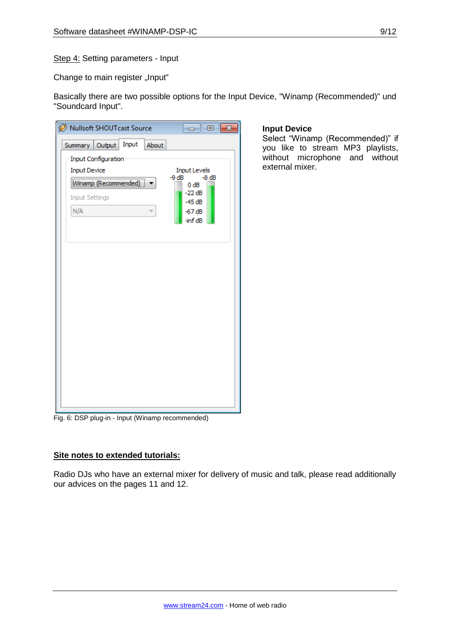Step 4: Setting parameters - Input

Change to main register "Input"

Basically there are two possible options for the Input Device, "Winamp (Recommended)" und "Soundcard Input".

**Input Device**

external mixer.

Select "Winamp (Recommended)" if you like to stream MP3 playlists, without microphone and without

| Nullsoft SHOUTcast Source<br>$\mathbf{x}$<br>--- |                                           |  |  |  |  |
|--------------------------------------------------|-------------------------------------------|--|--|--|--|
| Input<br>About<br>Summary Output                 |                                           |  |  |  |  |
| Input Configuration                              |                                           |  |  |  |  |
| <b>Input Device</b>                              | <b>Input Levels</b><br>$-9 dB$<br>$-8 dB$ |  |  |  |  |
| Winamp (Recommended)<br>0 dB                     |                                           |  |  |  |  |
| <b>Input Settings</b>                            | $-22dB$<br>$-45dB$                        |  |  |  |  |
| N/A<br>÷                                         | $-67dB$<br>-inf dB                        |  |  |  |  |
|                                                  |                                           |  |  |  |  |
|                                                  |                                           |  |  |  |  |
|                                                  |                                           |  |  |  |  |
|                                                  |                                           |  |  |  |  |
|                                                  |                                           |  |  |  |  |
|                                                  |                                           |  |  |  |  |
|                                                  |                                           |  |  |  |  |
|                                                  |                                           |  |  |  |  |
|                                                  |                                           |  |  |  |  |
|                                                  |                                           |  |  |  |  |
|                                                  |                                           |  |  |  |  |
|                                                  |                                           |  |  |  |  |
|                                                  |                                           |  |  |  |  |
|                                                  |                                           |  |  |  |  |

#### Fig. 6: DSP plug-in - Input (Winamp recommended)

#### **Site notes to extended tutorials:**

Radio DJs who have an external mixer for delivery of music and talk, please read additionally our advices on the pages 11 and 12.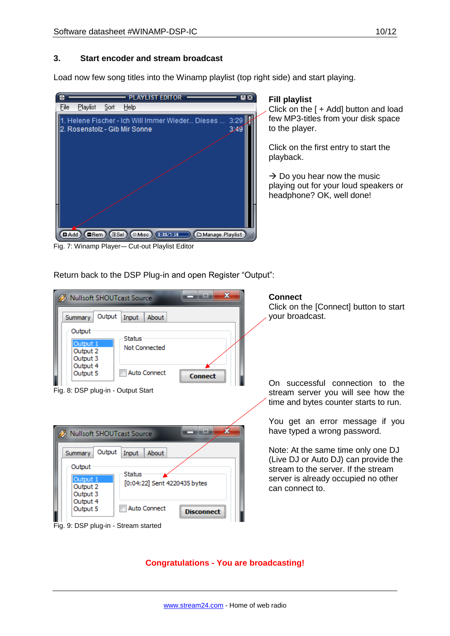#### **3. Start encoder and stream broadcast**

Load now few song titles into the Winamp playlist (top right side) and start playing.



#### **Fill playlist**

Click on the [ + Add] button and load few MP3-titles from your disk space to the player.

Click on the first entry to start the playback.

 $\rightarrow$  Do you hear now the music playing out for your loud speakers or headphone? OK, well done!

Fig. 7: Winamp Player-– Cut-out Playlist Editor

Return back to the DSP Plug-in and open Register "Output":



**Congratulations - You are broadcasting!**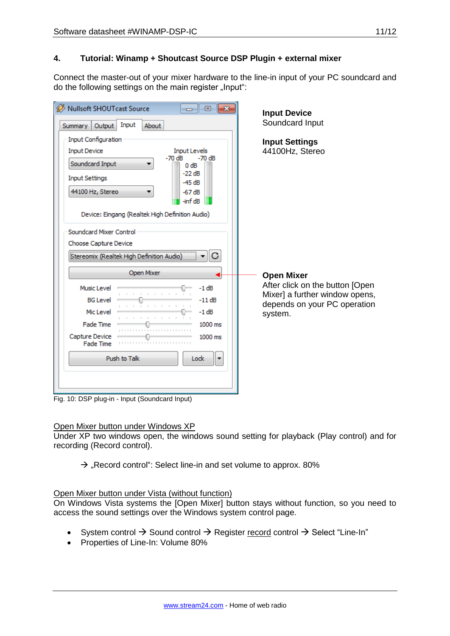#### **4. Tutorial: Winamp + Shoutcast Source DSP Plugin + external mixer**

Connect the master-out of your mixer hardware to the line-in input of your PC soundcard and do the following settings on the main register "Input":

| <b>Nullsoft SHOUTcast Source</b><br>$-x$<br>回<br>$\Box$                                                                                                                                                  | <b>Input Device</b>                                                                                                               |
|----------------------------------------------------------------------------------------------------------------------------------------------------------------------------------------------------------|-----------------------------------------------------------------------------------------------------------------------------------|
| Input<br>About<br>Output<br>Summary                                                                                                                                                                      | Soundcard Input                                                                                                                   |
| <b>Input Configuration</b><br><b>Input Device</b><br><b>Input Levels</b><br>$-70dB$<br>$-70dB$<br>Soundcard Input<br>0 dB<br>$-22$ dB<br><b>Input Settings</b><br>$-45dB$<br>44100 Hz, Stereo<br>$-67dB$ | <b>Input Settings</b><br>44100Hz, Stereo                                                                                          |
| -inf dB<br>Device: Eingang (Realtek High Definition Audio)<br>Soundcard Mixer Control<br>Choose Capture Device<br>Stereomix (Realtek High Definition Audio)                                              | <b>Open Mixer</b><br>After click on the button [Open<br>Mixer] a further window opens,<br>depends on your PC operation<br>system. |
| Open Mixer<br>Music Level<br>$-1 dB$<br>$-11dB$<br><b>BG</b> Level<br>Mic Level<br>$-1$ dB<br>Fade Time<br>$1000$ ms<br>Capture Device<br>1000 ms<br>Fade Time                                           |                                                                                                                                   |
| Push to Talk<br>Lock                                                                                                                                                                                     |                                                                                                                                   |

Fig. 10: DSP plug-in - Input (Soundcard Input)

#### Open Mixer button under Windows XP

Under XP two windows open, the windows sound setting for playback (Play control) and for recording (Record control).

 $\rightarrow$  "Record control": Select line-in and set volume to approx. 80%

#### Open Mixer button under Vista (without function)

On Windows Vista systems the [Open Mixer] button stays without function, so you need to access the sound settings over the Windows system control page.

- System control  $\rightarrow$  Sound control  $\rightarrow$  Register record control  $\rightarrow$  Select "Line-In"
- Properties of Line-In: Volume 80%